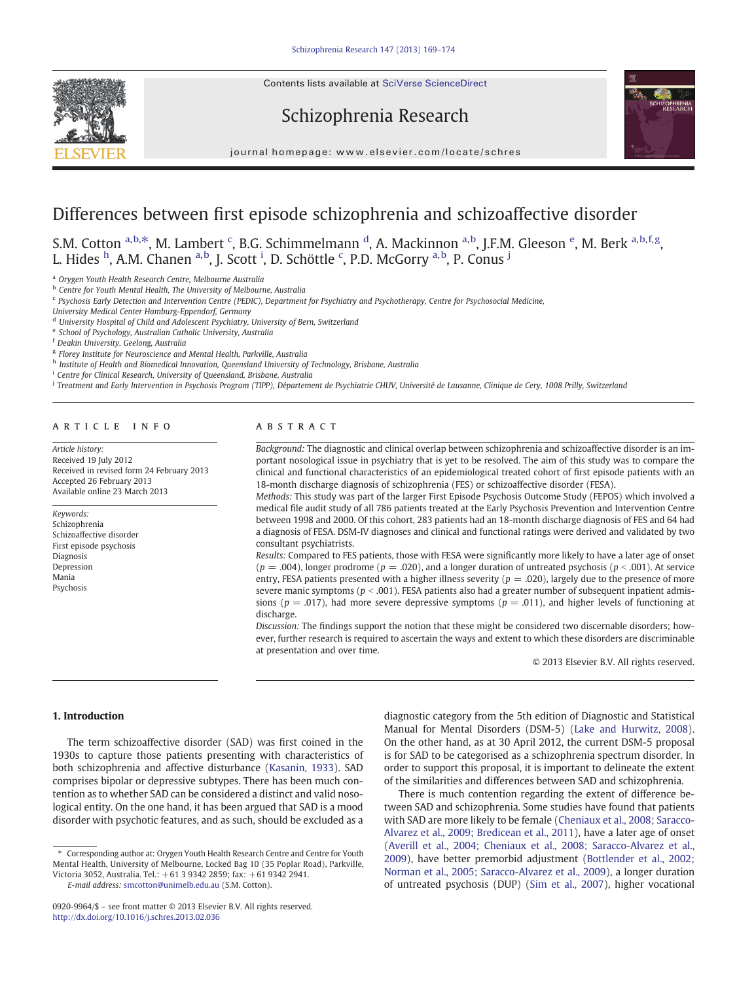Contents lists available at SciVerse ScienceDirect







journal homepage: www.elsevier.com/locate/schres

## Differences between first episode schizophrenia and schizoaffective disorder

S.M. Cotton a,b,\*, M. Lambert <sup>c</sup>, B.G. Schimmelmann <sup>d</sup>, A. Mackinnon <sup>a,b</sup>, J.F.M. Gleeson <sup>e</sup>, M. Berk <sup>a,b,f,g</sup>, L. Hides <sup>h</sup>, A.M. Chanen <sup>a,b</sup>, J. Scott <sup>i</sup>, D. Schöttle <sup>c</sup>, P.D. McGorry <sup>a,b</sup>, P. Conus <sup>j</sup>

<sup>a</sup> Orygen Youth Health Research Centre, Melbourne Australia

**b** Centre for Youth Mental Health, The University of Melbourne, Australia

<sup>c</sup> Psychosis Early Detection and Intervention Centre (PEDIC), Department for Psychiatry and Psychotherapy, Centre for Psychosocial Medicine,

University Medical Center Hamburg-Eppendorf, Germany

<sup>d</sup> University Hospital of Child and Adolescent Psychiatry, University of Bern, Switzerland

<sup>e</sup> School of Psychology, Australian Catholic University, Australia

<sup>f</sup> Deakin University, Geelong, Australia

<sup>g</sup> Florey Institute for Neuroscience and Mental Health, Parkville, Australia

h Institute of Health and Biomedical Innovation, Queensland University of Technology, Brisbane, Australia

Centre for Clinical Research, University of Queensland, Brisbane, Australia

<sup>j</sup> Treatment and Early Intervention in Psychosis Program (TIPP), Département de Psychiatrie CHUV, Université de Lausanne, Clinique de Cery, 1008 Prilly, Switzerland

#### article info abstract

Article history: Received 19 July 2012 Received in revised form 24 February 2013 Accepted 26 February 2013 Available online 23 March 2013

Keywords: Schizophrenia Schizoaffective disorder First episode psychosis Diagnosis Depression Mania Psychosis

Background: The diagnostic and clinical overlap between schizophrenia and schizoaffective disorder is an important nosological issue in psychiatry that is yet to be resolved. The aim of this study was to compare the clinical and functional characteristics of an epidemiological treated cohort of first episode patients with an 18-month discharge diagnosis of schizophrenia (FES) or schizoaffective disorder (FESA).

Methods: This study was part of the larger First Episode Psychosis Outcome Study (FEPOS) which involved a medical file audit study of all 786 patients treated at the Early Psychosis Prevention and Intervention Centre between 1998 and 2000. Of this cohort, 283 patients had an 18-month discharge diagnosis of FES and 64 had a diagnosis of FESA. DSM-IV diagnoses and clinical and functional ratings were derived and validated by two consultant psychiatrists.

Results: Compared to FES patients, those with FESA were significantly more likely to have a later age of onset  $(p = .004)$ , longer prodrome  $(p = .020)$ , and a longer duration of untreated psychosis  $(p < .001)$ . At service entry, FESA patients presented with a higher illness severity ( $p = .020$ ), largely due to the presence of more severe manic symptoms ( $p < .001$ ). FESA patients also had a greater number of subsequent inpatient admissions ( $p = .017$ ), had more severe depressive symptoms ( $p = .011$ ), and higher levels of functioning at discharge.

Discussion: The findings support the notion that these might be considered two discernable disorders; however, further research is required to ascertain the ways and extent to which these disorders are discriminable at presentation and over time.

© 2013 Elsevier B.V. All rights reserved.

#### 1. Introduction

The term schizoaffective disorder (SAD) was first coined in the 1930s to capture those patients presenting with characteristics of both schizophrenia and affective disturbance ([Kasanin, 1933\)](#page--1-0). SAD comprises bipolar or depressive subtypes. There has been much contention as to whether SAD can be considered a distinct and valid nosological entity. On the one hand, it has been argued that SAD is a mood disorder with psychotic features, and as such, should be excluded as a

E-mail address: [smcotton@unimelb.edu.au](mailto:smcotton@unimelb.edu.au) (S.M. Cotton).

diagnostic category from the 5th edition of Diagnostic and Statistical Manual for Mental Disorders (DSM-5) [\(Lake and Hurwitz, 2008](#page--1-0)). On the other hand, as at 30 April 2012, the current DSM-5 proposal is for SAD to be categorised as a schizophrenia spectrum disorder. In order to support this proposal, it is important to delineate the extent of the similarities and differences between SAD and schizophrenia.

There is much contention regarding the extent of difference between SAD and schizophrenia. Some studies have found that patients with SAD are more likely to be female ([Cheniaux et al., 2008; Saracco-](#page--1-0)[Alvarez et al., 2009; Bredicean et al., 2011](#page--1-0)), have a later age of onset [\(Averill et al., 2004; Cheniaux et al., 2008; Saracco-Alvarez et al.,](#page--1-0) [2009\)](#page--1-0), have better premorbid adjustment ([Bottlender et al., 2002;](#page--1-0) [Norman et al., 2005; Saracco-Alvarez et al., 2009\)](#page--1-0), a longer duration of untreated psychosis (DUP) [\(Sim et al., 2007](#page--1-0)), higher vocational

<sup>⁎</sup> Corresponding author at: Orygen Youth Health Research Centre and Centre for Youth Mental Health, University of Melbourne, Locked Bag 10 (35 Poplar Road), Parkville, Victoria 3052, Australia. Tel.: +61 3 9342 2859; fax: +61 9342 2941.

<sup>0920-9964/\$</sup> – see front matter © 2013 Elsevier B.V. All rights reserved. <http://dx.doi.org/10.1016/j.schres.2013.02.036>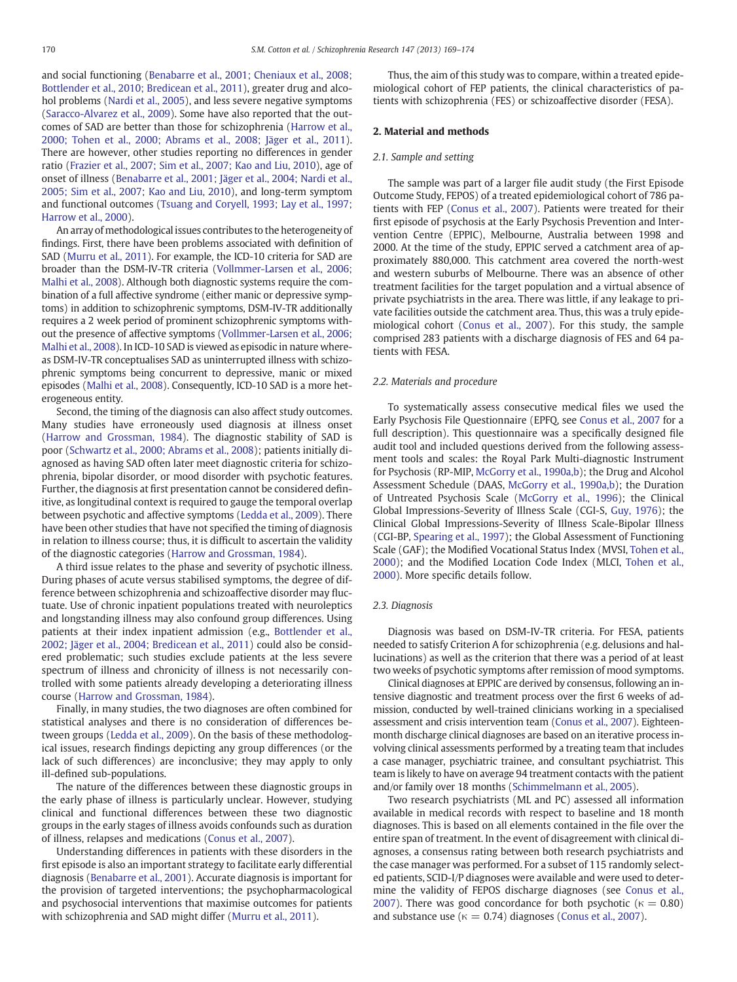and social functioning [\(Benabarre et al., 2001; Cheniaux et al., 2008;](#page--1-0) [Bottlender et al., 2010; Bredicean et al., 2011](#page--1-0)), greater drug and alcohol problems [\(Nardi et al., 2005](#page--1-0)), and less severe negative symptoms [\(Saracco-Alvarez et al., 2009\)](#page--1-0). Some have also reported that the outcomes of SAD are better than those for schizophrenia [\(Harrow et al.,](#page--1-0) [2000; Tohen et al., 2000; Abrams et al., 2008; Jäger et al., 2011](#page--1-0)). There are however, other studies reporting no differences in gender ratio ([Frazier et al., 2007; Sim et al., 2007; Kao and Liu, 2010](#page--1-0)), age of onset of illness ([Benabarre et al., 2001; Jäger et al., 2004; Nardi et al.,](#page--1-0) [2005; Sim et al., 2007; Kao and Liu, 2010\)](#page--1-0), and long-term symptom and functional outcomes ([Tsuang and Coryell, 1993; Lay et al., 1997;](#page--1-0) [Harrow et al., 2000](#page--1-0)).

An array of methodological issues contributes to the heterogeneity of findings. First, there have been problems associated with definition of SAD [\(Murru et al., 2011\)](#page--1-0). For example, the ICD-10 criteria for SAD are broader than the DSM-IV-TR criteria [\(Vollmmer-Larsen et al., 2006;](#page--1-0) [Malhi et al., 2008\)](#page--1-0). Although both diagnostic systems require the combination of a full affective syndrome (either manic or depressive symptoms) in addition to schizophrenic symptoms, DSM-IV-TR additionally requires a 2 week period of prominent schizophrenic symptoms without the presence of affective symptoms [\(Vollmmer-Larsen et al., 2006;](#page--1-0) [Malhi et al., 2008](#page--1-0)). In ICD-10 SAD is viewed as episodic in nature whereas DSM-IV-TR conceptualises SAD as uninterrupted illness with schizophrenic symptoms being concurrent to depressive, manic or mixed episodes [\(Malhi et al., 2008\)](#page--1-0). Consequently, ICD-10 SAD is a more heterogeneous entity.

Second, the timing of the diagnosis can also affect study outcomes. Many studies have erroneously used diagnosis at illness onset [\(Harrow and Grossman, 1984](#page--1-0)). The diagnostic stability of SAD is poor [\(Schwartz et al., 2000; Abrams et al., 2008](#page--1-0)); patients initially diagnosed as having SAD often later meet diagnostic criteria for schizophrenia, bipolar disorder, or mood disorder with psychotic features. Further, the diagnosis at first presentation cannot be considered definitive, as longitudinal context is required to gauge the temporal overlap between psychotic and affective symptoms ([Ledda et al., 2009\)](#page--1-0). There have been other studies that have not specified the timing of diagnosis in relation to illness course; thus, it is difficult to ascertain the validity of the diagnostic categories ([Harrow and Grossman, 1984\)](#page--1-0).

A third issue relates to the phase and severity of psychotic illness. During phases of acute versus stabilised symptoms, the degree of difference between schizophrenia and schizoaffective disorder may fluctuate. Use of chronic inpatient populations treated with neuroleptics and longstanding illness may also confound group differences. Using patients at their index inpatient admission (e.g., [Bottlender et al.,](#page--1-0) [2002; Jäger et al., 2004; Bredicean et al., 2011\)](#page--1-0) could also be considered problematic; such studies exclude patients at the less severe spectrum of illness and chronicity of illness is not necessarily controlled with some patients already developing a deteriorating illness course [\(Harrow and Grossman, 1984](#page--1-0)).

Finally, in many studies, the two diagnoses are often combined for statistical analyses and there is no consideration of differences between groups [\(Ledda et al., 2009\)](#page--1-0). On the basis of these methodological issues, research findings depicting any group differences (or the lack of such differences) are inconclusive; they may apply to only ill-defined sub-populations.

The nature of the differences between these diagnostic groups in the early phase of illness is particularly unclear. However, studying clinical and functional differences between these two diagnostic groups in the early stages of illness avoids confounds such as duration of illness, relapses and medications [\(Conus et al., 2007\)](#page--1-0).

Understanding differences in patients with these disorders in the first episode is also an important strategy to facilitate early differential diagnosis [\(Benabarre et al., 2001](#page--1-0)). Accurate diagnosis is important for the provision of targeted interventions; the psychopharmacological and psychosocial interventions that maximise outcomes for patients with schizophrenia and SAD might differ [\(Murru et al., 2011](#page--1-0)).

Thus, the aim of this study was to compare, within a treated epidemiological cohort of FEP patients, the clinical characteristics of patients with schizophrenia (FES) or schizoaffective disorder (FESA).

### 2. Material and methods

#### 2.1. Sample and setting

The sample was part of a larger file audit study (the First Episode Outcome Study, FEPOS) of a treated epidemiological cohort of 786 patients with FEP ([Conus et al., 2007](#page--1-0)). Patients were treated for their first episode of psychosis at the Early Psychosis Prevention and Intervention Centre (EPPIC), Melbourne, Australia between 1998 and 2000. At the time of the study, EPPIC served a catchment area of approximately 880,000. This catchment area covered the north-west and western suburbs of Melbourne. There was an absence of other treatment facilities for the target population and a virtual absence of private psychiatrists in the area. There was little, if any leakage to private facilities outside the catchment area. Thus, this was a truly epidemiological cohort [\(Conus et al., 2007](#page--1-0)). For this study, the sample comprised 283 patients with a discharge diagnosis of FES and 64 patients with FESA.

#### 2.2. Materials and procedure

To systematically assess consecutive medical files we used the Early Psychosis File Questionnaire (EPFQ, see [Conus et al., 2007](#page--1-0) for a full description). This questionnaire was a specifically designed file audit tool and included questions derived from the following assessment tools and scales: the Royal Park Multi-diagnostic Instrument for Psychosis (RP-MIP, [McGorry et al., 1990a,b](#page--1-0)); the Drug and Alcohol Assessment Schedule (DAAS, [McGorry et al., 1990a,b\)](#page--1-0); the Duration of Untreated Psychosis Scale [\(McGorry et al., 1996](#page--1-0)); the Clinical Global Impressions-Severity of Illness Scale (CGI-S, [Guy, 1976\)](#page--1-0); the Clinical Global Impressions-Severity of Illness Scale-Bipolar Illness (CGI-BP, [Spearing et al., 1997\)](#page--1-0); the Global Assessment of Functioning Scale (GAF); the Modified Vocational Status Index (MVSI, [Tohen et al.,](#page--1-0) [2000\)](#page--1-0); and the Modified Location Code Index (MLCI, [Tohen et al.,](#page--1-0) [2000\)](#page--1-0). More specific details follow.

#### 2.3. Diagnosis

Diagnosis was based on DSM-IV-TR criteria. For FESA, patients needed to satisfy Criterion A for schizophrenia (e.g. delusions and hallucinations) as well as the criterion that there was a period of at least two weeks of psychotic symptoms after remission of mood symptoms.

Clinical diagnoses at EPPIC are derived by consensus, following an intensive diagnostic and treatment process over the first 6 weeks of admission, conducted by well-trained clinicians working in a specialised assessment and crisis intervention team [\(Conus et al., 2007](#page--1-0)). Eighteenmonth discharge clinical diagnoses are based on an iterative process involving clinical assessments performed by a treating team that includes a case manager, psychiatric trainee, and consultant psychiatrist. This team is likely to have on average 94 treatment contacts with the patient and/or family over 18 months [\(Schimmelmann et al., 2005\)](#page--1-0).

Two research psychiatrists (ML and PC) assessed all information available in medical records with respect to baseline and 18 month diagnoses. This is based on all elements contained in the file over the entire span of treatment. In the event of disagreement with clinical diagnoses, a consensus rating between both research psychiatrists and the case manager was performed. For a subset of 115 randomly selected patients, SCID-I/P diagnoses were available and were used to determine the validity of FEPOS discharge diagnoses (see [Conus et al.,](#page--1-0) [2007\)](#page--1-0). There was good concordance for both psychotic ( $\kappa = 0.80$ ) and substance use ( $\kappa = 0.74$ ) diagnoses ([Conus et al., 2007\)](#page--1-0).